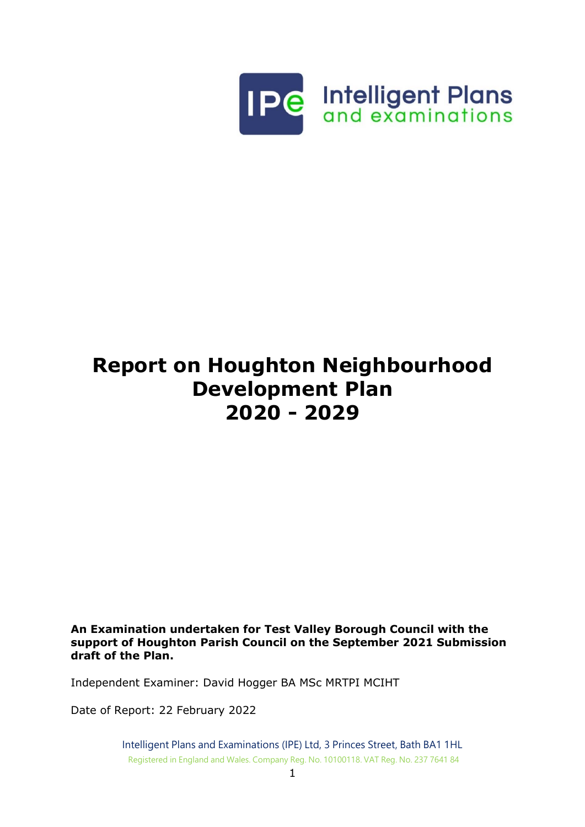

# **Report on Houghton Neighbourhood Development Plan 2020 - 2029**

**An Examination undertaken for Test Valley Borough Council with the support of Houghton Parish Council on the September 2021 Submission draft of the Plan.**

Independent Examiner: David Hogger BA MSc MRTPI MCIHT

Date of Report: 22 February 2022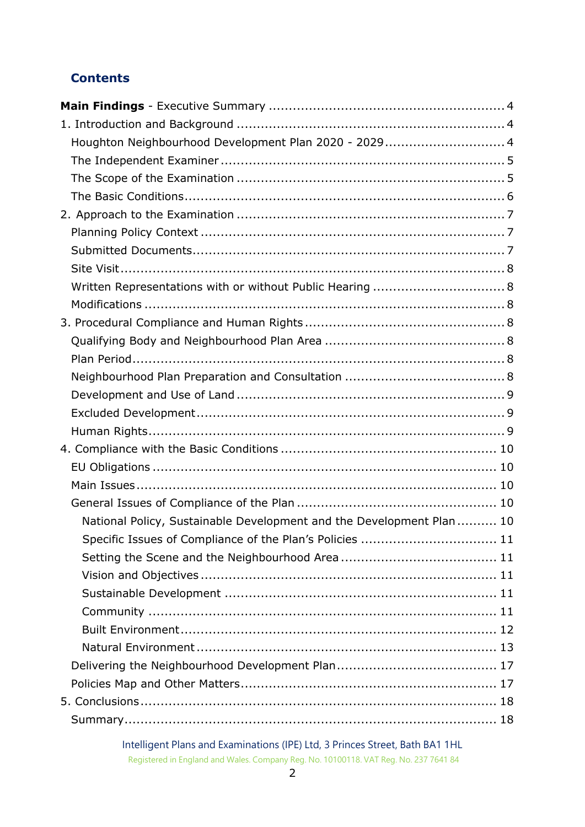# **Contents**

| Houghton Neighbourhood Development Plan 2020 - 2029 4                 |
|-----------------------------------------------------------------------|
|                                                                       |
|                                                                       |
|                                                                       |
|                                                                       |
|                                                                       |
|                                                                       |
|                                                                       |
| Written Representations with or without Public Hearing  8             |
|                                                                       |
|                                                                       |
|                                                                       |
|                                                                       |
|                                                                       |
|                                                                       |
|                                                                       |
|                                                                       |
|                                                                       |
|                                                                       |
|                                                                       |
|                                                                       |
| National Policy, Sustainable Development and the Development Plan  10 |
| Specific Issues of Compliance of the Plan's Policies  11              |
|                                                                       |
|                                                                       |
|                                                                       |
|                                                                       |
|                                                                       |
|                                                                       |
|                                                                       |
|                                                                       |
|                                                                       |
|                                                                       |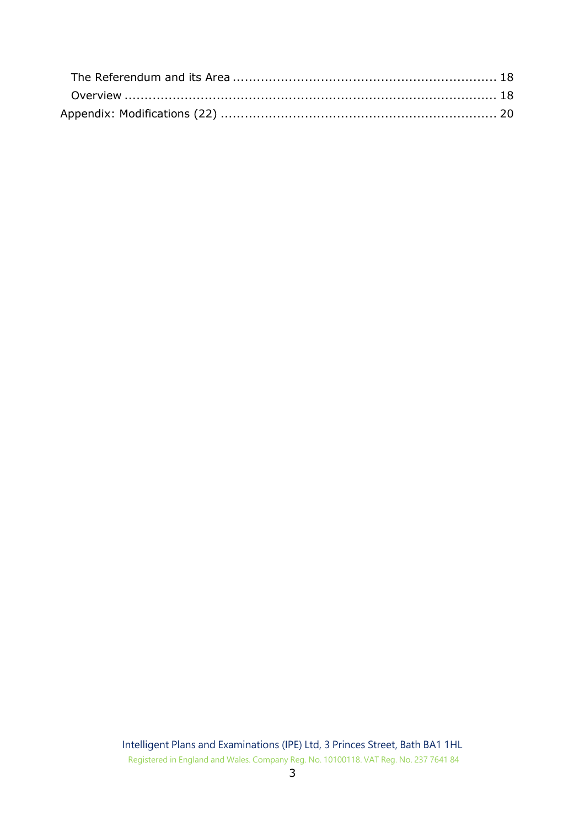| Overview ……………………………………………………………………………………… 18 |  |
|-----------------------------------------------|--|
|                                               |  |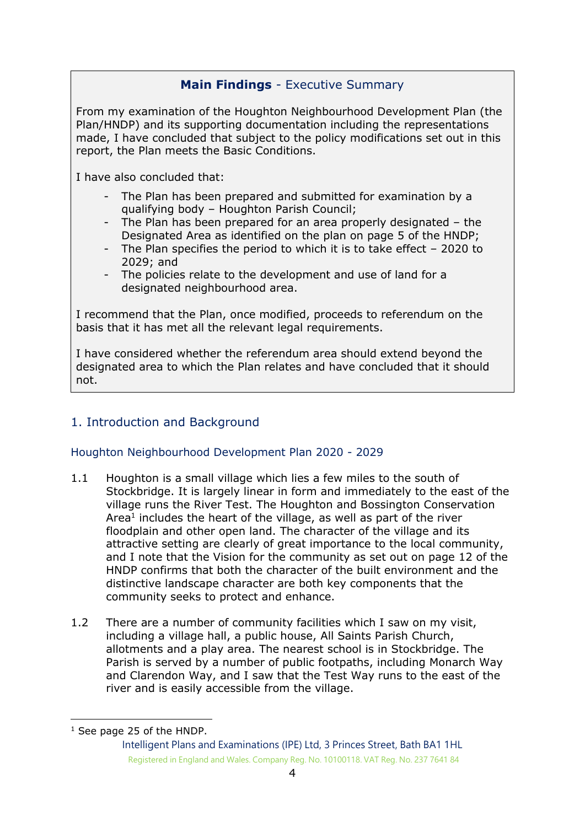# <span id="page-3-0"></span>**Main Findings** - Executive Summary

From my examination of the Houghton Neighbourhood Development Plan (the Plan/HNDP) and its supporting documentation including the representations made, I have concluded that subject to the policy modifications set out in this report, the Plan meets the Basic Conditions.

I have also concluded that:

- The Plan has been prepared and submitted for examination by a qualifying body – Houghton Parish Council;
- The Plan has been prepared for an area properly designated the Designated Area as identified on the plan on page 5 of the HNDP;
- The Plan specifies the period to which it is to take effect 2020 to 2029; and
- The policies relate to the development and use of land for a designated neighbourhood area.

I recommend that the Plan, once modified, proceeds to referendum on the basis that it has met all the relevant legal requirements.

I have considered whether the referendum area should extend beyond the designated area to which the Plan relates and have concluded that it should not.

# <span id="page-3-1"></span>1. Introduction and Background

# <span id="page-3-2"></span>Houghton Neighbourhood Development Plan 2020 - 2029

- 1.1 Houghton is a small village which lies a few miles to the south of Stockbridge. It is largely linear in form and immediately to the east of the village runs the River Test. The Houghton and Bossington Conservation Area $<sup>1</sup>$  includes the heart of the village, as well as part of the river</sup> floodplain and other open land. The character of the village and its attractive setting are clearly of great importance to the local community, and I note that the Vision for the community as set out on page 12 of the HNDP confirms that both the character of the built environment and the distinctive landscape character are both key components that the community seeks to protect and enhance.
- 1.2 There are a number of community facilities which I saw on my visit, including a village hall, a public house, All Saints Parish Church, allotments and a play area. The nearest school is in Stockbridge. The Parish is served by a number of public footpaths, including Monarch Way and Clarendon Way, and I saw that the Test Way runs to the east of the river and is easily accessible from the village.

<sup>&</sup>lt;sup>1</sup> See page 25 of the HNDP.

Intelligent Plans and Examinations (IPE) Ltd, 3 Princes Street, Bath BA1 1HL Registered in England and Wales. Company Reg. No. 10100118. VAT Reg. No. 237 7641 84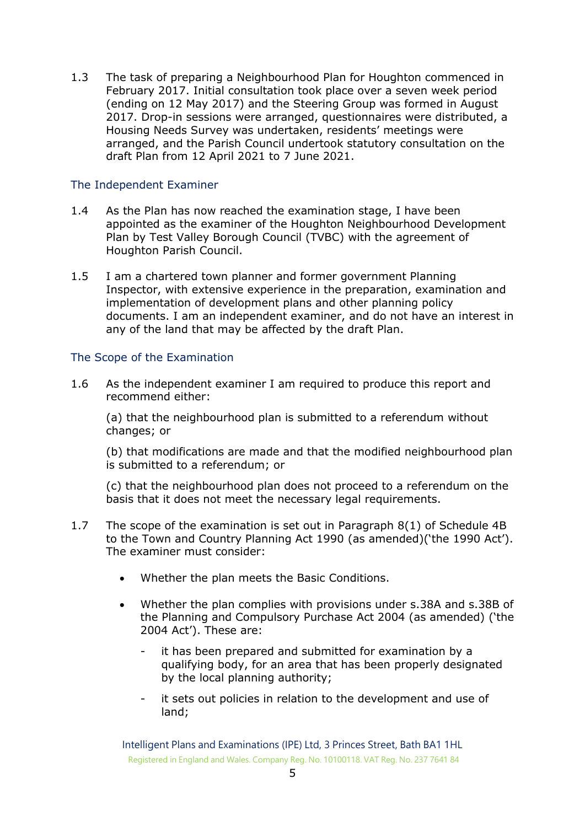1.3 The task of preparing a Neighbourhood Plan for Houghton commenced in February 2017. Initial consultation took place over a seven week period (ending on 12 May 2017) and the Steering Group was formed in August 2017. Drop-in sessions were arranged, questionnaires were distributed, a Housing Needs Survey was undertaken, residents' meetings were arranged, and the Parish Council undertook statutory consultation on the draft Plan from 12 April 2021 to 7 June 2021.

#### <span id="page-4-0"></span>The Independent Examiner

- 1.4 As the Plan has now reached the examination stage, I have been appointed as the examiner of the Houghton Neighbourhood Development Plan by Test Valley Borough Council (TVBC) with the agreement of Houghton Parish Council.
- 1.5 I am a chartered town planner and former government Planning Inspector, with extensive experience in the preparation, examination and implementation of development plans and other planning policy documents. I am an independent examiner, and do not have an interest in any of the land that may be affected by the draft Plan.

#### <span id="page-4-1"></span>The Scope of the Examination

1.6 As the independent examiner I am required to produce this report and recommend either:

(a) that the neighbourhood plan is submitted to a referendum without changes; or

(b) that modifications are made and that the modified neighbourhood plan is submitted to a referendum; or

(c) that the neighbourhood plan does not proceed to a referendum on the basis that it does not meet the necessary legal requirements.

- 1.7 The scope of the examination is set out in Paragraph 8(1) of Schedule 4B to the Town and Country Planning Act 1990 (as amended)('the 1990 Act'). The examiner must consider:
	- Whether the plan meets the Basic Conditions.
	- Whether the plan complies with provisions under s.38A and s.38B of the Planning and Compulsory Purchase Act 2004 (as amended) ('the 2004 Act'). These are:
		- it has been prepared and submitted for examination by a qualifying body, for an area that has been properly designated by the local planning authority;
		- it sets out policies in relation to the development and use of land;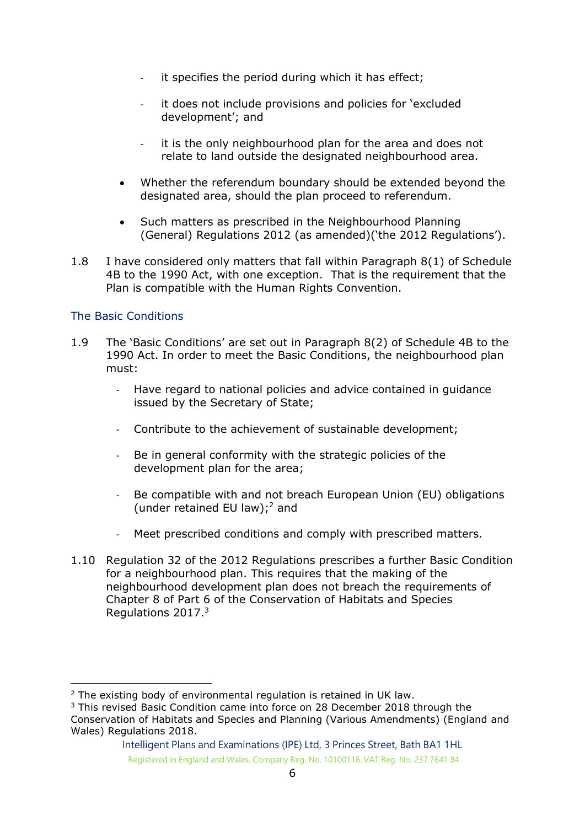- it specifies the period during which it has effect;
- it does not include provisions and policies for 'excluded development'; and
- it is the only neighbourhood plan for the area and does not relate to land outside the designated neighbourhood area.
- Whether the referendum boundary should be extended beyond the designated area, should the plan proceed to referendum.
- Such matters as prescribed in the Neighbourhood Planning (General) Regulations 2012 (as amended)('the 2012 Regulations').
- 1.8 I have considered only matters that fall within Paragraph 8(1) of Schedule 4B to the 1990 Act, with one exception. That is the requirement that the Plan is compatible with the Human Rights Convention.

#### <span id="page-5-0"></span>The Basic Conditions

- 1.9 The 'Basic Conditions' are set out in Paragraph 8(2) of Schedule 4B to the 1990 Act. In order to meet the Basic Conditions, the neighbourhood plan must:
	- Have regard to national policies and advice contained in guidance issued by the Secretary of State;
	- Contribute to the achievement of sustainable development;
	- Be in general conformity with the strategic policies of the development plan for the area;
	- Be compatible with and not breach European Union (EU) obligations (under retained EU law);<sup>2</sup> and
	- Meet prescribed conditions and comply with prescribed matters.
- 1.10 Regulation 32 of the 2012 Regulations prescribes a further Basic Condition for a neighbourhood plan. This requires that the making of the neighbourhood development plan does not breach the requirements of Chapter 8 of Part 6 of the Conservation of Habitats and Species Regulations 2017. 3

<sup>&</sup>lt;sup>2</sup> The existing body of environmental regulation is retained in UK law.

<sup>3</sup> This revised Basic Condition came into force on 28 December 2018 through the Conservation of Habitats and Species and Planning (Various Amendments) (England and Wales) Regulations 2018.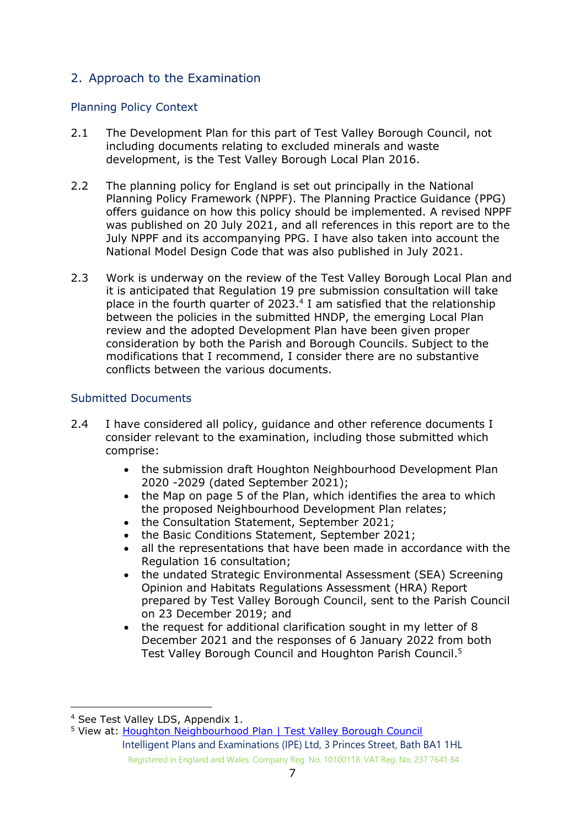# <span id="page-6-0"></span>2. Approach to the Examination

#### <span id="page-6-1"></span>Planning Policy Context

- 2.1 The Development Plan for this part of Test Valley Borough Council, not including documents relating to excluded minerals and waste development, is the Test Valley Borough Local Plan 2016.
- 2.2 The planning policy for England is set out principally in the National Planning Policy Framework (NPPF). The Planning Practice Guidance (PPG) offers guidance on how this policy should be implemented. A revised NPPF was published on 20 July 2021, and all references in this report are to the July NPPF and its accompanying PPG. I have also taken into account the National Model Design Code that was also published in July 2021.
- 2.3 Work is underway on the review of the Test Valley Borough Local Plan and it is anticipated that Regulation 19 pre submission consultation will take place in the fourth quarter of 2023. 4 I am satisfied that the relationship between the policies in the submitted HNDP, the emerging Local Plan review and the adopted Development Plan have been given proper consideration by both the Parish and Borough Councils. Subject to the modifications that I recommend, I consider there are no substantive conflicts between the various documents.

#### <span id="page-6-2"></span>Submitted Documents

- 2.4 I have considered all policy, quidance and other reference documents I consider relevant to the examination, including those submitted which comprise:
	- the submission draft Houghton Neighbourhood Development Plan 2020 -2029 (dated September 2021);
	- the Map on page 5 of the Plan, which identifies the area to which the proposed Neighbourhood Development Plan relates;
	- the Consultation Statement, September 2021;
	- the Basic Conditions Statement, September 2021;
	- all the representations that have been made in accordance with the Regulation 16 consultation;
	- the undated Strategic Environmental Assessment (SEA) Screening Opinion and Habitats Regulations Assessment (HRA) Report prepared by Test Valley Borough Council, sent to the Parish Council on 23 December 2019; and
	- the request for additional clarification sought in my letter of 8 December 2021 and the responses of 6 January 2022 from both Test Valley Borough Council and Houghton Parish Council.<sup>5</sup>

<sup>4</sup> See Test Valley LDS, Appendix 1.

<sup>&</sup>lt;sup>5</sup> View at: [Houghton Neighbourhood Plan | Test Valley Borough Council](https://www.testvalley.gov.uk/consultations/houghton-neighbourhood-plan?chapter=2)

Intelligent Plans and Examinations (IPE) Ltd, 3 Princes Street, Bath BA1 1HL Registered in England and Wales. Company Reg. No. 10100118. VAT Reg. No. 237 7641 84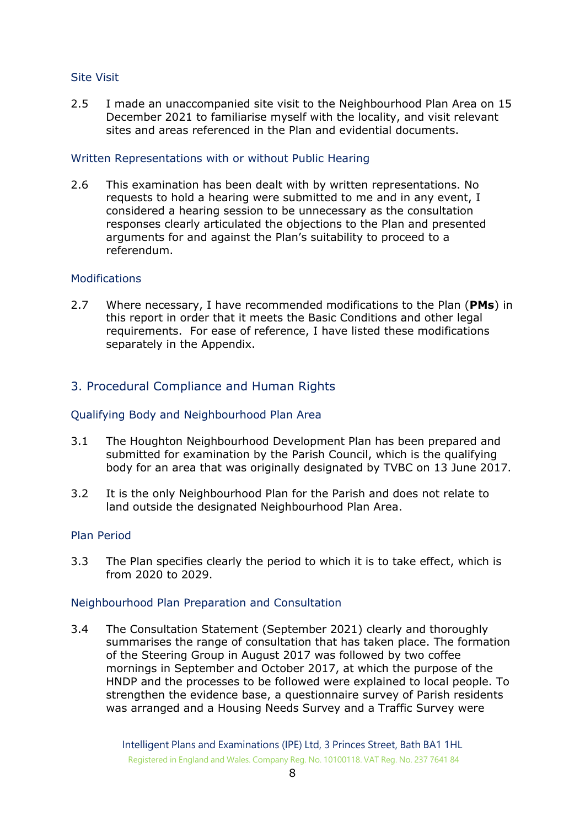#### <span id="page-7-0"></span>Site Visit

2.5 I made an unaccompanied site visit to the Neighbourhood Plan Area on 15 December 2021 to familiarise myself with the locality, and visit relevant sites and areas referenced in the Plan and evidential documents.

#### <span id="page-7-1"></span>Written Representations with or without Public Hearing

2.6 This examination has been dealt with by written representations. No requests to hold a hearing were submitted to me and in any event, I considered a hearing session to be unnecessary as the consultation responses clearly articulated the objections to the Plan and presented arguments for and against the Plan's suitability to proceed to a referendum.

#### <span id="page-7-2"></span>**Modifications**

2.7 Where necessary, I have recommended modifications to the Plan (**PMs**) in this report in order that it meets the Basic Conditions and other legal requirements. For ease of reference, I have listed these modifications separately in the Appendix.

#### <span id="page-7-3"></span>3. Procedural Compliance and Human Rights

#### <span id="page-7-4"></span>Qualifying Body and Neighbourhood Plan Area

- 3.1 The Houghton Neighbourhood Development Plan has been prepared and submitted for examination by the Parish Council, which is the qualifying body for an area that was originally designated by TVBC on 13 June 2017.
- 3.2 It is the only Neighbourhood Plan for the Parish and does not relate to land outside the designated Neighbourhood Plan Area.

#### <span id="page-7-5"></span>Plan Period

3.3 The Plan specifies clearly the period to which it is to take effect, which is from 2020 to 2029.

#### <span id="page-7-6"></span>Neighbourhood Plan Preparation and Consultation

3.4 The Consultation Statement (September 2021) clearly and thoroughly summarises the range of consultation that has taken place. The formation of the Steering Group in August 2017 was followed by two coffee mornings in September and October 2017, at which the purpose of the HNDP and the processes to be followed were explained to local people. To strengthen the evidence base, a questionnaire survey of Parish residents was arranged and a Housing Needs Survey and a Traffic Survey were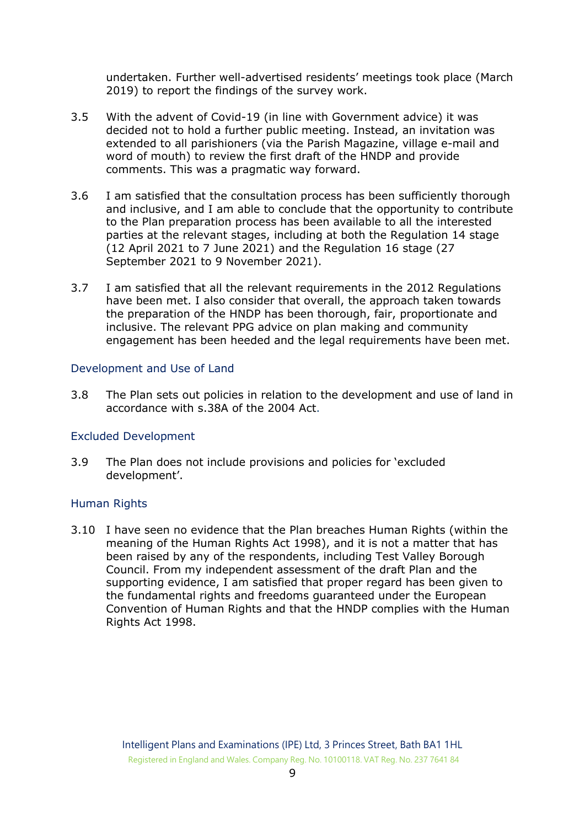undertaken. Further well-advertised residents' meetings took place (March 2019) to report the findings of the survey work.

- 3.5 With the advent of Covid-19 (in line with Government advice) it was decided not to hold a further public meeting. Instead, an invitation was extended to all parishioners (via the Parish Magazine, village e-mail and word of mouth) to review the first draft of the HNDP and provide comments. This was a pragmatic way forward.
- 3.6 I am satisfied that the consultation process has been sufficiently thorough and inclusive, and I am able to conclude that the opportunity to contribute to the Plan preparation process has been available to all the interested parties at the relevant stages, including at both the Regulation 14 stage (12 April 2021 to 7 June 2021) and the Regulation 16 stage (27 September 2021 to 9 November 2021).
- 3.7 I am satisfied that all the relevant requirements in the 2012 Regulations have been met. I also consider that overall, the approach taken towards the preparation of the HNDP has been thorough, fair, proportionate and inclusive. The relevant PPG advice on plan making and community engagement has been heeded and the legal requirements have been met.

#### <span id="page-8-0"></span>Development and Use of Land

3.8 The Plan sets out policies in relation to the development and use of land in accordance with s.38A of the 2004 Act.

#### <span id="page-8-1"></span>Excluded Development

3.9 The Plan does not include provisions and policies for 'excluded development'.

#### <span id="page-8-2"></span>Human Rights

3.10 I have seen no evidence that the Plan breaches Human Rights (within the meaning of the Human Rights Act 1998), and it is not a matter that has been raised by any of the respondents, including Test Valley Borough Council. From my independent assessment of the draft Plan and the supporting evidence, I am satisfied that proper regard has been given to the fundamental rights and freedoms guaranteed under the European Convention of Human Rights and that the HNDP complies with the Human Rights Act 1998.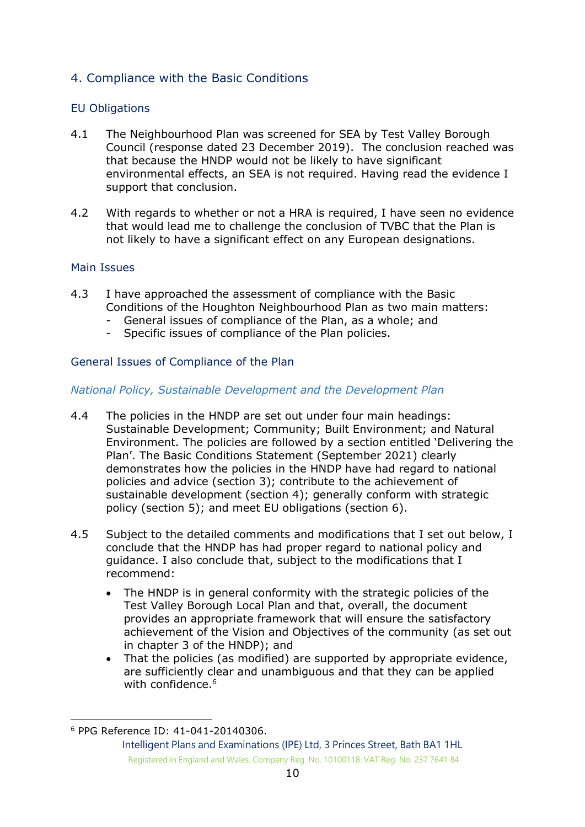# <span id="page-9-0"></span>4. Compliance with the Basic Conditions

#### <span id="page-9-1"></span>EU Obligations

- 4.1 The Neighbourhood Plan was screened for SEA by Test Valley Borough Council (response dated 23 December 2019). The conclusion reached was that because the HNDP would not be likely to have significant environmental effects, an SEA is not required. Having read the evidence I support that conclusion.
- 4.2 With regards to whether or not a HRA is required, I have seen no evidence that would lead me to challenge the conclusion of TVBC that the Plan is not likely to have a significant effect on any European designations.

#### <span id="page-9-2"></span>Main Issues

- 4.3 I have approached the assessment of compliance with the Basic Conditions of the Houghton Neighbourhood Plan as two main matters:
	- General issues of compliance of the Plan, as a whole; and
	- Specific issues of compliance of the Plan policies.

#### <span id="page-9-3"></span>General Issues of Compliance of the Plan

#### <span id="page-9-4"></span>*National Policy, Sustainable Development and the Development Plan*

- 4.4 The policies in the HNDP are set out under four main headings: Sustainable Development; Community; Built Environment; and Natural Environment. The policies are followed by a section entitled 'Delivering the Plan'. The Basic Conditions Statement (September 2021) clearly demonstrates how the policies in the HNDP have had regard to national policies and advice (section 3); contribute to the achievement of sustainable development (section 4); generally conform with strategic policy (section 5); and meet EU obligations (section 6).
- 4.5 Subject to the detailed comments and modifications that I set out below, I conclude that the HNDP has had proper regard to national policy and guidance. I also conclude that, subject to the modifications that I recommend:
	- The HNDP is in general conformity with the strategic policies of the Test Valley Borough Local Plan and that, overall, the document provides an appropriate framework that will ensure the satisfactory achievement of the Vision and Objectives of the community (as set out in chapter 3 of the HNDP); and
	- That the policies (as modified) are supported by appropriate evidence, are sufficiently clear and unambiguous and that they can be applied with confidence.<sup>6</sup>

<sup>6</sup> PPG Reference ID: 41-041-20140306.

Intelligent Plans and Examinations (IPE) Ltd, 3 Princes Street, Bath BA1 1HL Registered in England and Wales. Company Reg. No. 10100118. VAT Reg. No. 237 7641 84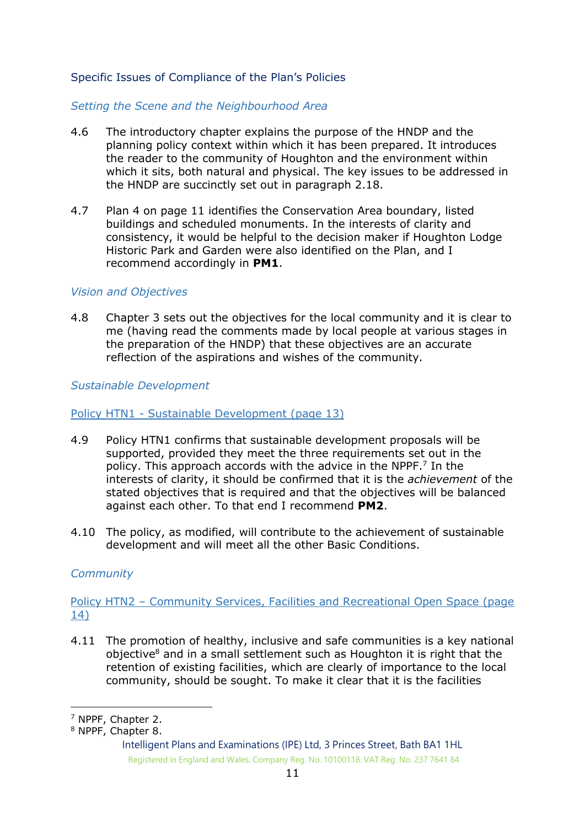#### <span id="page-10-0"></span>Specific Issues of Compliance of the Plan's Policies

#### <span id="page-10-1"></span>*Setting the Scene and the Neighbourhood Area*

- 4.6 The introductory chapter explains the purpose of the HNDP and the planning policy context within which it has been prepared. It introduces the reader to the community of Houghton and the environment within which it sits, both natural and physical. The key issues to be addressed in the HNDP are succinctly set out in paragraph 2.18.
- 4.7 Plan 4 on page 11 identifies the Conservation Area boundary, listed buildings and scheduled monuments. In the interests of clarity and consistency, it would be helpful to the decision maker if Houghton Lodge Historic Park and Garden were also identified on the Plan, and I recommend accordingly in **PM1**.

#### <span id="page-10-2"></span>*Vision and Objectives*

4.8 Chapter 3 sets out the objectives for the local community and it is clear to me (having read the comments made by local people at various stages in the preparation of the HNDP) that these objectives are an accurate reflection of the aspirations and wishes of the community.

<span id="page-10-3"></span>*Sustainable Development* 

#### Policy HTN1 - Sustainable Development (page 13)

- 4.9 Policy HTN1 confirms that sustainable development proposals will be supported, provided they meet the three requirements set out in the policy. This approach accords with the advice in the NPPF.<sup>7</sup> In the interests of clarity, it should be confirmed that it is the *achievement* of the stated objectives that is required and that the objectives will be balanced against each other. To that end I recommend **PM2**.
- 4.10 The policy, as modified, will contribute to the achievement of sustainable development and will meet all the other Basic Conditions.

#### <span id="page-10-4"></span>*Community*

Policy HTN2 – Community Services, Facilities and Recreational Open Space (page 14)

4.11 The promotion of healthy, inclusive and safe communities is a key national objective<sup>8</sup> and in a small settlement such as Houghton it is right that the retention of existing facilities, which are clearly of importance to the local community, should be sought. To make it clear that it is the facilities

<sup>7</sup> NPPF, Chapter 2.

<sup>8</sup> NPPF, Chapter 8.

Intelligent Plans and Examinations (IPE) Ltd, 3 Princes Street, Bath BA1 1HL Registered in England and Wales. Company Reg. No. 10100118. VAT Reg. No. 237 7641 84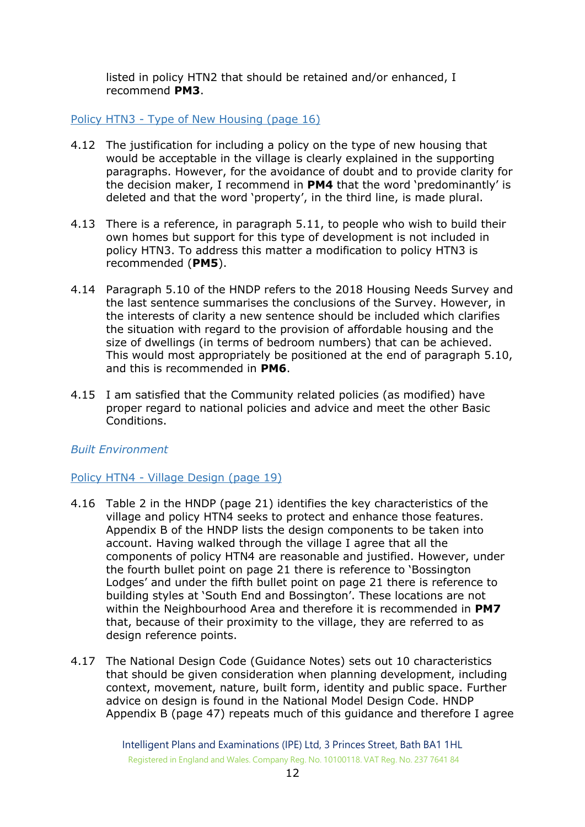listed in policy HTN2 that should be retained and/or enhanced, I recommend **PM3**.

#### Policy HTN3 - Type of New Housing (page 16)

- 4.12 The justification for including a policy on the type of new housing that would be acceptable in the village is clearly explained in the supporting paragraphs. However, for the avoidance of doubt and to provide clarity for the decision maker, I recommend in **PM4** that the word 'predominantly' is deleted and that the word 'property', in the third line, is made plural.
- 4.13 There is a reference, in paragraph 5.11, to people who wish to build their own homes but support for this type of development is not included in policy HTN3. To address this matter a modification to policy HTN3 is recommended (**PM5**).
- 4.14 Paragraph 5.10 of the HNDP refers to the 2018 Housing Needs Survey and the last sentence summarises the conclusions of the Survey. However, in the interests of clarity a new sentence should be included which clarifies the situation with regard to the provision of affordable housing and the size of dwellings (in terms of bedroom numbers) that can be achieved. This would most appropriately be positioned at the end of paragraph 5.10, and this is recommended in **PM6**.
- 4.15 I am satisfied that the Community related policies (as modified) have proper regard to national policies and advice and meet the other Basic Conditions.

#### <span id="page-11-0"></span>*Built Environment*

#### Policy HTN4 - Village Design (page 19)

- 4.16 Table 2 in the HNDP (page 21) identifies the key characteristics of the village and policy HTN4 seeks to protect and enhance those features. Appendix B of the HNDP lists the design components to be taken into account. Having walked through the village I agree that all the components of policy HTN4 are reasonable and justified. However, under the fourth bullet point on page 21 there is reference to 'Bossington Lodges' and under the fifth bullet point on page 21 there is reference to building styles at 'South End and Bossington'. These locations are not within the Neighbourhood Area and therefore it is recommended in **PM7** that, because of their proximity to the village, they are referred to as design reference points.
- 4.17 The National Design Code (Guidance Notes) sets out 10 characteristics that should be given consideration when planning development, including context, movement, nature, built form, identity and public space. Further advice on design is found in the National Model Design Code. HNDP Appendix B (page 47) repeats much of this guidance and therefore I agree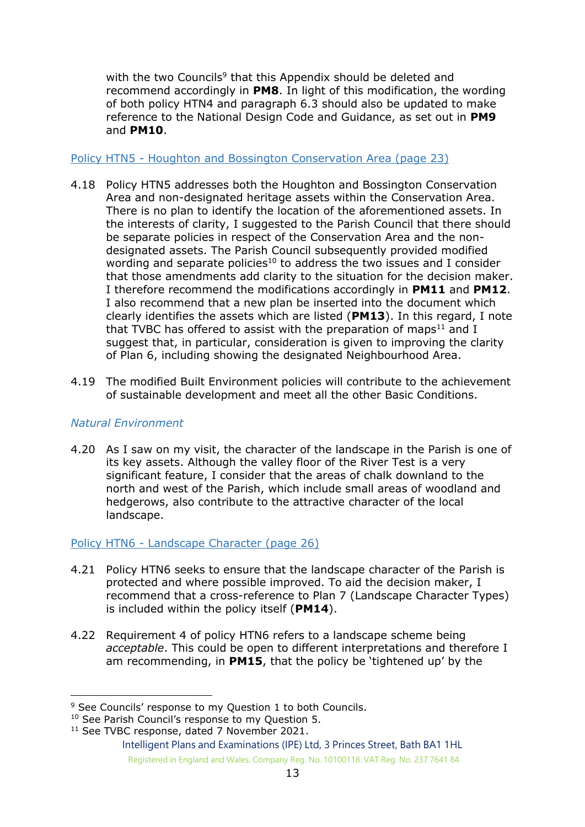with the two Councils<sup>9</sup> that this Appendix should be deleted and recommend accordingly in **PM8**. In light of this modification, the wording of both policy HTN4 and paragraph 6.3 should also be updated to make reference to the National Design Code and Guidance, as set out in **PM9** and **PM10**.

#### Policy HTN5 - Houghton and Bossington Conservation Area (page 23)

- 4.18 Policy HTN5 addresses both the Houghton and Bossington Conservation Area and non-designated heritage assets within the Conservation Area. There is no plan to identify the location of the aforementioned assets. In the interests of clarity, I suggested to the Parish Council that there should be separate policies in respect of the Conservation Area and the nondesignated assets. The Parish Council subsequently provided modified wording and separate policies<sup>10</sup> to address the two issues and I consider that those amendments add clarity to the situation for the decision maker. I therefore recommend the modifications accordingly in **PM11** and **PM12**. I also recommend that a new plan be inserted into the document which clearly identifies the assets which are listed (**PM13**). In this regard, I note that TVBC has offered to assist with the preparation of maps $11$  and I suggest that, in particular, consideration is given to improving the clarity of Plan 6, including showing the designated Neighbourhood Area.
- 4.19 The modified Built Environment policies will contribute to the achievement of sustainable development and meet all the other Basic Conditions.

# <span id="page-12-0"></span>*Natural Environment*

4.20 As I saw on my visit, the character of the landscape in the Parish is one of its key assets. Although the valley floor of the River Test is a very significant feature, I consider that the areas of chalk downland to the north and west of the Parish, which include small areas of woodland and hedgerows, also contribute to the attractive character of the local landscape.

#### Policy HTN6 - Landscape Character (page 26)

- 4.21 Policy HTN6 seeks to ensure that the landscape character of the Parish is protected and where possible improved. To aid the decision maker, I recommend that a cross-reference to Plan 7 (Landscape Character Types) is included within the policy itself (**PM14**).
- 4.22 Requirement 4 of policy HTN6 refers to a landscape scheme being *acceptable*. This could be open to different interpretations and therefore I am recommending, in **PM15**, that the policy be 'tightened up' by the

<sup>&</sup>lt;sup>9</sup> See Councils' response to my Ouestion 1 to both Councils.

<sup>&</sup>lt;sup>10</sup> See Parish Council's response to my Question 5.

<sup>&</sup>lt;sup>11</sup> See TVBC response, dated 7 November 2021.

Intelligent Plans and Examinations (IPE) Ltd, 3 Princes Street, Bath BA1 1HL Registered in England and Wales. Company Reg. No. 10100118. VAT Reg. No. 237 7641 84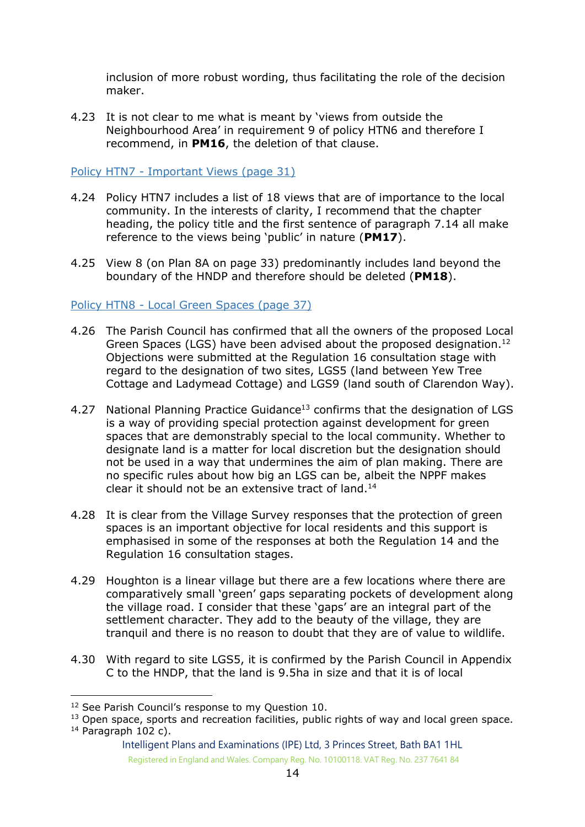inclusion of more robust wording, thus facilitating the role of the decision maker.

4.23 It is not clear to me what is meant by 'views from outside the Neighbourhood Area' in requirement 9 of policy HTN6 and therefore I recommend, in **PM16**, the deletion of that clause.

#### Policy HTN7 - Important Views (page 31)

- 4.24 Policy HTN7 includes a list of 18 views that are of importance to the local community. In the interests of clarity, I recommend that the chapter heading, the policy title and the first sentence of paragraph 7.14 all make reference to the views being 'public' in nature (**PM17**).
- 4.25 View 8 (on Plan 8A on page 33) predominantly includes land beyond the boundary of the HNDP and therefore should be deleted (**PM18**).

#### Policy HTN8 - Local Green Spaces (page 37)

- 4.26 The Parish Council has confirmed that all the owners of the proposed Local Green Spaces (LGS) have been advised about the proposed designation. 12 Objections were submitted at the Regulation 16 consultation stage with regard to the designation of two sites, LGS5 (land between Yew Tree Cottage and Ladymead Cottage) and LGS9 (land south of Clarendon Way).
- 4.27 National Planning Practice Guidance<sup>13</sup> confirms that the designation of LGS is a way of providing special protection against development for green spaces that are demonstrably special to the local community. Whether to designate land is a matter for local discretion but the designation should not be used in a way that undermines the aim of plan making. There are no specific rules about how big an LGS can be, albeit the NPPF makes clear it should not be an extensive tract of land. 14
- 4.28 It is clear from the Village Survey responses that the protection of green spaces is an important objective for local residents and this support is emphasised in some of the responses at both the Regulation 14 and the Regulation 16 consultation stages.
- 4.29 Houghton is a linear village but there are a few locations where there are comparatively small 'green' gaps separating pockets of development along the village road. I consider that these 'gaps' are an integral part of the settlement character. They add to the beauty of the village, they are tranquil and there is no reason to doubt that they are of value to wildlife.
- 4.30 With regard to site LGS5, it is confirmed by the Parish Council in Appendix C to the HNDP, that the land is 9.5ha in size and that it is of local

<sup>&</sup>lt;sup>12</sup> See Parish Council's response to my Ouestion 10.

<sup>&</sup>lt;sup>13</sup> Open space, sports and recreation facilities, public rights of way and local green space.  $14$  Paragraph 102 c).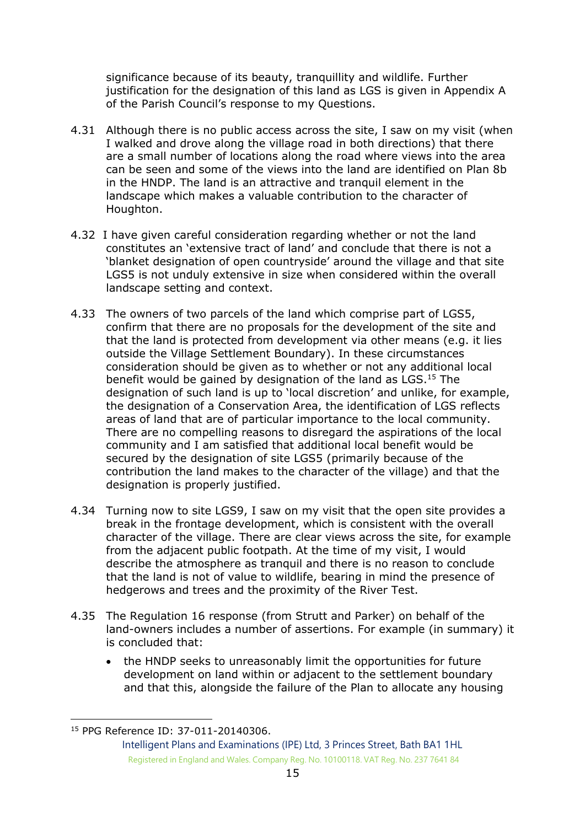significance because of its beauty, tranquillity and wildlife. Further justification for the designation of this land as LGS is given in Appendix A of the Parish Council's response to my Questions.

- 4.31 Although there is no public access across the site, I saw on my visit (when I walked and drove along the village road in both directions) that there are a small number of locations along the road where views into the area can be seen and some of the views into the land are identified on Plan 8b in the HNDP. The land is an attractive and tranquil element in the landscape which makes a valuable contribution to the character of Houghton.
- 4.32 I have given careful consideration regarding whether or not the land constitutes an 'extensive tract of land' and conclude that there is not a 'blanket designation of open countryside' around the village and that site LGS5 is not unduly extensive in size when considered within the overall landscape setting and context.
- 4.33 The owners of two parcels of the land which comprise part of LGS5, confirm that there are no proposals for the development of the site and that the land is protected from development via other means (e.g. it lies outside the Village Settlement Boundary). In these circumstances consideration should be given as to whether or not any additional local benefit would be gained by designation of the land as LGS. <sup>15</sup> The designation of such land is up to 'local discretion' and unlike, for example, the designation of a Conservation Area, the identification of LGS reflects areas of land that are of particular importance to the local community. There are no compelling reasons to disregard the aspirations of the local community and I am satisfied that additional local benefit would be secured by the designation of site LGS5 (primarily because of the contribution the land makes to the character of the village) and that the designation is properly justified.
- 4.34 Turning now to site LGS9, I saw on my visit that the open site provides a break in the frontage development, which is consistent with the overall character of the village. There are clear views across the site, for example from the adjacent public footpath. At the time of my visit, I would describe the atmosphere as tranquil and there is no reason to conclude that the land is not of value to wildlife, bearing in mind the presence of hedgerows and trees and the proximity of the River Test.
- 4.35 The Regulation 16 response (from Strutt and Parker) on behalf of the land-owners includes a number of assertions. For example (in summary) it is concluded that:
	- the HNDP seeks to unreasonably limit the opportunities for future development on land within or adjacent to the settlement boundary and that this, alongside the failure of the Plan to allocate any housing

<sup>15</sup> PPG Reference ID: 37-011-20140306.

Intelligent Plans and Examinations (IPE) Ltd, 3 Princes Street, Bath BA1 1HL Registered in England and Wales. Company Reg. No. 10100118. VAT Reg. No. 237 7641 84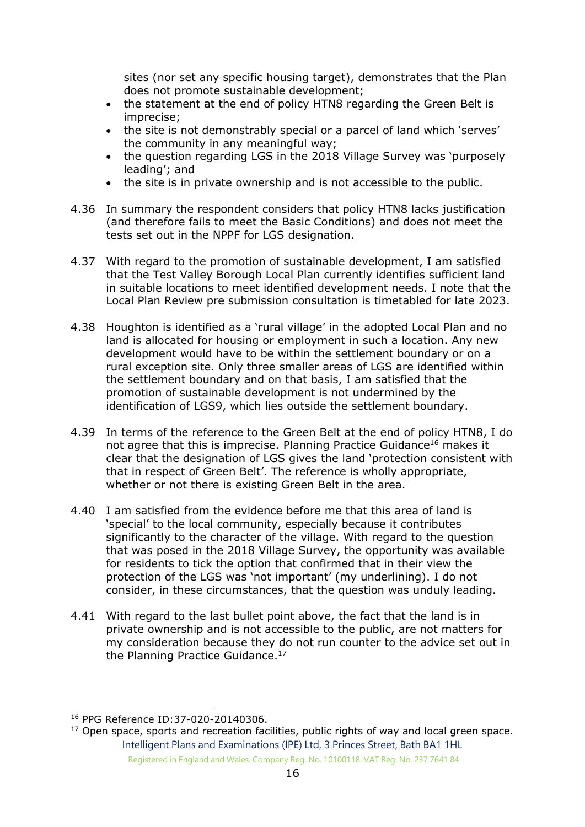sites (nor set any specific housing target), demonstrates that the Plan does not promote sustainable development;

- the statement at the end of policy HTN8 regarding the Green Belt is imprecise;
- the site is not demonstrably special or a parcel of land which 'serves' the community in any meaningful way;
- the question regarding LGS in the 2018 Village Survey was 'purposely leading'; and
- the site is in private ownership and is not accessible to the public.
- 4.36 In summary the respondent considers that policy HTN8 lacks justification (and therefore fails to meet the Basic Conditions) and does not meet the tests set out in the NPPF for LGS designation.
- 4.37 With regard to the promotion of sustainable development, I am satisfied that the Test Valley Borough Local Plan currently identifies sufficient land in suitable locations to meet identified development needs. I note that the Local Plan Review pre submission consultation is timetabled for late 2023.
- 4.38 Houghton is identified as a 'rural village' in the adopted Local Plan and no land is allocated for housing or employment in such a location. Any new development would have to be within the settlement boundary or on a rural exception site. Only three smaller areas of LGS are identified within the settlement boundary and on that basis, I am satisfied that the promotion of sustainable development is not undermined by the identification of LGS9, which lies outside the settlement boundary.
- 4.39 In terms of the reference to the Green Belt at the end of policy HTN8, I do not agree that this is imprecise. Planning Practice Guidance<sup>16</sup> makes it clear that the designation of LGS gives the land 'protection consistent with that in respect of Green Belt'. The reference is wholly appropriate, whether or not there is existing Green Belt in the area.
- 4.40 I am satisfied from the evidence before me that this area of land is 'special' to the local community, especially because it contributes significantly to the character of the village. With regard to the question that was posed in the 2018 Village Survey, the opportunity was available for residents to tick the option that confirmed that in their view the protection of the LGS was 'not important' (my underlining). I do not consider, in these circumstances, that the question was unduly leading.
- 4.41 With regard to the last bullet point above, the fact that the land is in private ownership and is not accessible to the public, are not matters for my consideration because they do not run counter to the advice set out in the Planning Practice Guidance.<sup>17</sup>

<sup>16</sup> PPG Reference ID:37-020-20140306.

Intelligent Plans and Examinations (IPE) Ltd, 3 Princes Street, Bath BA1 1HL Registered in England and Wales. Company Reg. No. 10100118. VAT Reg. No. 237 7641 84  $17$  Open space, sports and recreation facilities, public rights of way and local green space.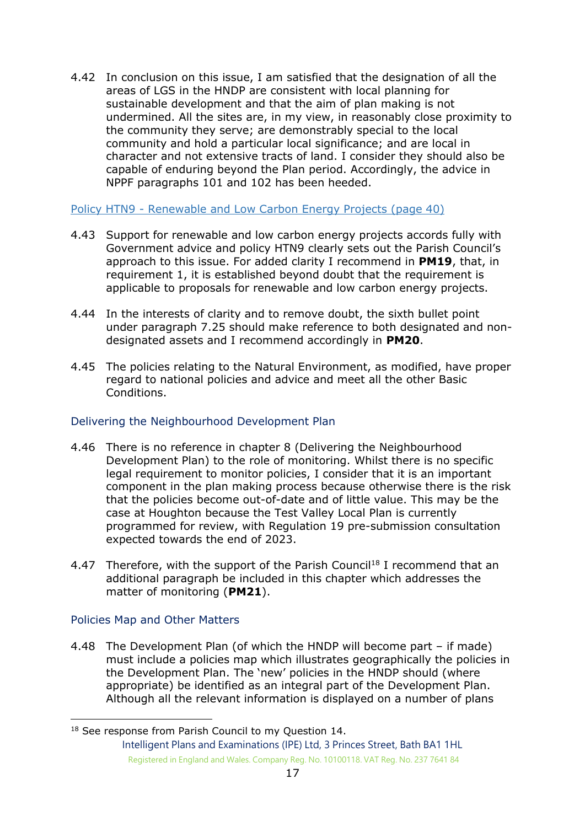4.42 In conclusion on this issue, I am satisfied that the designation of all the areas of LGS in the HNDP are consistent with local planning for sustainable development and that the aim of plan making is not undermined. All the sites are, in my view, in reasonably close proximity to the community they serve; are demonstrably special to the local community and hold a particular local significance; and are local in character and not extensive tracts of land. I consider they should also be capable of enduring beyond the Plan period. Accordingly, the advice in NPPF paragraphs 101 and 102 has been heeded.

Policy HTN9 - Renewable and Low Carbon Energy Projects (page 40)

- 4.43 Support for renewable and low carbon energy projects accords fully with Government advice and policy HTN9 clearly sets out the Parish Council's approach to this issue. For added clarity I recommend in **PM19**, that, in requirement 1, it is established beyond doubt that the requirement is applicable to proposals for renewable and low carbon energy projects.
- 4.44 In the interests of clarity and to remove doubt, the sixth bullet point under paragraph 7.25 should make reference to both designated and nondesignated assets and I recommend accordingly in **PM20**.
- 4.45 The policies relating to the Natural Environment, as modified, have proper regard to national policies and advice and meet all the other Basic Conditions.

# <span id="page-16-0"></span>Delivering the Neighbourhood Development Plan

- 4.46 There is no reference in chapter 8 (Delivering the Neighbourhood Development Plan) to the role of monitoring. Whilst there is no specific legal requirement to monitor policies, I consider that it is an important component in the plan making process because otherwise there is the risk that the policies become out-of-date and of little value. This may be the case at Houghton because the Test Valley Local Plan is currently programmed for review, with Regulation 19 pre-submission consultation expected towards the end of 2023.
- 4.47 Therefore, with the support of the Parish Council<sup>18</sup> I recommend that an additional paragraph be included in this chapter which addresses the matter of monitoring (**PM21**).

#### <span id="page-16-1"></span>Policies Map and Other Matters

4.48 The Development Plan (of which the HNDP will become part – if made) must include a policies map which illustrates geographically the policies in the Development Plan. The 'new' policies in the HNDP should (where appropriate) be identified as an integral part of the Development Plan. Although all the relevant information is displayed on a number of plans

Intelligent Plans and Examinations (IPE) Ltd, 3 Princes Street, Bath BA1 1HL Registered in England and Wales. Company Reg. No. 10100118. VAT Reg. No. 237 7641 84 <sup>18</sup> See response from Parish Council to my Question 14.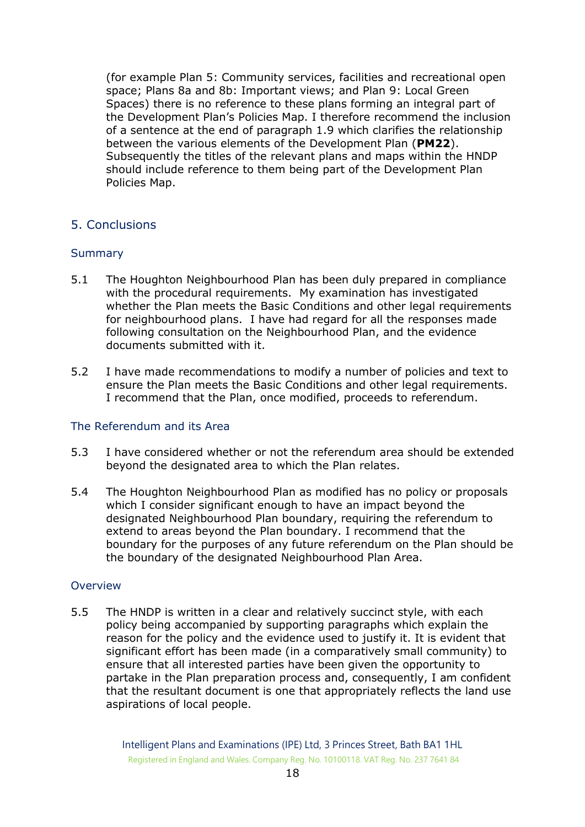(for example Plan 5: Community services, facilities and recreational open space; Plans 8a and 8b: Important views; and Plan 9: Local Green Spaces) there is no reference to these plans forming an integral part of the Development Plan's Policies Map. I therefore recommend the inclusion of a sentence at the end of paragraph 1.9 which clarifies the relationship between the various elements of the Development Plan (**PM22**). Subsequently the titles of the relevant plans and maps within the HNDP should include reference to them being part of the Development Plan Policies Map.

# <span id="page-17-0"></span>5. Conclusions

#### <span id="page-17-1"></span>**Summary**

- 5.1 The Houghton Neighbourhood Plan has been duly prepared in compliance with the procedural requirements. My examination has investigated whether the Plan meets the Basic Conditions and other legal requirements for neighbourhood plans. I have had regard for all the responses made following consultation on the Neighbourhood Plan, and the evidence documents submitted with it.
- 5.2 I have made recommendations to modify a number of policies and text to ensure the Plan meets the Basic Conditions and other legal requirements. I recommend that the Plan, once modified, proceeds to referendum.

#### <span id="page-17-2"></span>The Referendum and its Area

- 5.3 I have considered whether or not the referendum area should be extended beyond the designated area to which the Plan relates.
- 5.4 The Houghton Neighbourhood Plan as modified has no policy or proposals which I consider significant enough to have an impact beyond the designated Neighbourhood Plan boundary, requiring the referendum to extend to areas beyond the Plan boundary. I recommend that the boundary for the purposes of any future referendum on the Plan should be the boundary of the designated Neighbourhood Plan Area.

#### <span id="page-17-3"></span>Overview

5.5 The HNDP is written in a clear and relatively succinct style, with each policy being accompanied by supporting paragraphs which explain the reason for the policy and the evidence used to justify it. It is evident that significant effort has been made (in a comparatively small community) to ensure that all interested parties have been given the opportunity to partake in the Plan preparation process and, consequently, I am confident that the resultant document is one that appropriately reflects the land use aspirations of local people.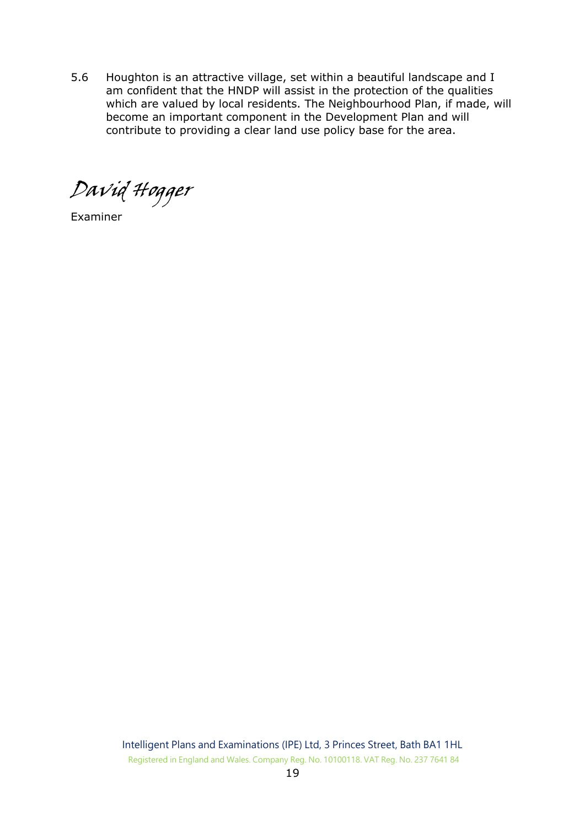5.6 Houghton is an attractive village, set within a beautiful landscape and I am confident that the HNDP will assist in the protection of the qualities which are valued by local residents. The Neighbourhood Plan, if made, will become an important component in the Development Plan and will contribute to providing a clear land use policy base for the area.

David Hogger

<span id="page-18-0"></span>Examiner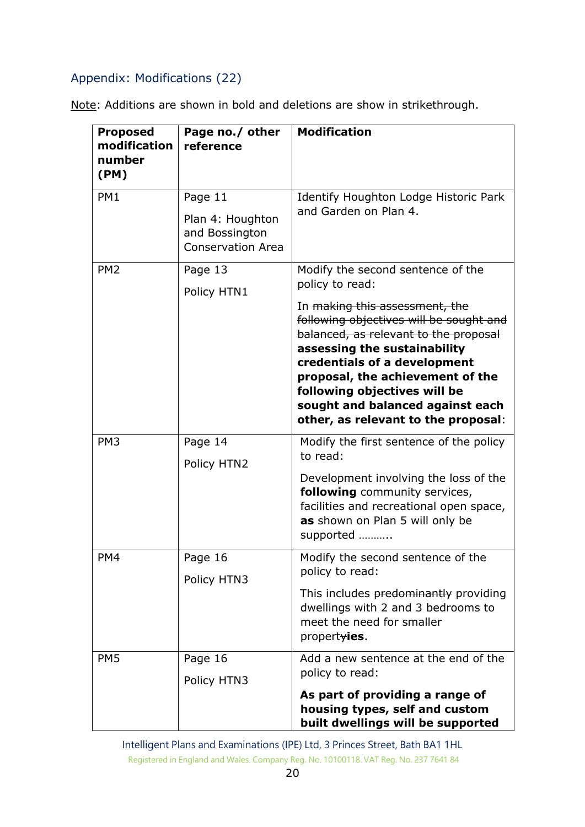# Appendix: Modifications (22)

Note: Additions are shown in bold and deletions are show in strikethrough.

| <b>Proposed</b><br>modification<br>number<br>(PM) | Page no./ other<br>reference                                              | <b>Modification</b>                                                                                                                                                                                                                                                                                                                                                                                  |
|---------------------------------------------------|---------------------------------------------------------------------------|------------------------------------------------------------------------------------------------------------------------------------------------------------------------------------------------------------------------------------------------------------------------------------------------------------------------------------------------------------------------------------------------------|
| PM1                                               | Page 11<br>Plan 4: Houghton<br>and Bossington<br><b>Conservation Area</b> | Identify Houghton Lodge Historic Park<br>and Garden on Plan 4.                                                                                                                                                                                                                                                                                                                                       |
| PM <sub>2</sub>                                   | Page 13<br>Policy HTN1                                                    | Modify the second sentence of the<br>policy to read:<br>In <del>making this assessment, the</del><br>following objectives will be sought and<br>balanced, as relevant to the proposal<br>assessing the sustainability<br>credentials of a development<br>proposal, the achievement of the<br>following objectives will be<br>sought and balanced against each<br>other, as relevant to the proposal: |
| PM <sub>3</sub>                                   | Page 14<br>Policy HTN2                                                    | Modify the first sentence of the policy<br>to read:<br>Development involving the loss of the<br>following community services,<br>facilities and recreational open space,<br>as shown on Plan 5 will only be<br>supported                                                                                                                                                                             |
| PM4                                               | Page 16<br>Policy HTN3                                                    | Modify the second sentence of the<br>policy to read:<br>This includes predominantly providing<br>dwellings with 2 and 3 bedrooms to<br>meet the need for smaller<br>propertyies.                                                                                                                                                                                                                     |
| PM <sub>5</sub>                                   | Page 16<br>Policy HTN3                                                    | Add a new sentence at the end of the<br>policy to read:<br>As part of providing a range of<br>housing types, self and custom<br>built dwellings will be supported                                                                                                                                                                                                                                    |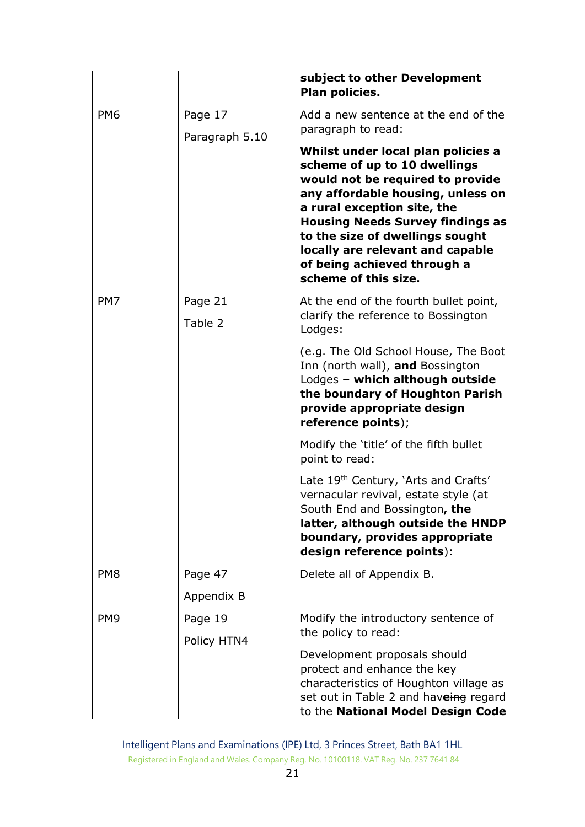|                 |                    | subject to other Development<br>Plan policies.                                                                                                                                                                                                                                                                                                      |
|-----------------|--------------------|-----------------------------------------------------------------------------------------------------------------------------------------------------------------------------------------------------------------------------------------------------------------------------------------------------------------------------------------------------|
| PM <sub>6</sub> | Page 17            | Add a new sentence at the end of the<br>paragraph to read:                                                                                                                                                                                                                                                                                          |
|                 | Paragraph 5.10     | Whilst under local plan policies a<br>scheme of up to 10 dwellings<br>would not be required to provide<br>any affordable housing, unless on<br>a rural exception site, the<br><b>Housing Needs Survey findings as</b><br>to the size of dwellings sought<br>locally are relevant and capable<br>of being achieved through a<br>scheme of this size. |
| PM7             | Page 21<br>Table 2 | At the end of the fourth bullet point,<br>clarify the reference to Bossington<br>Lodges:                                                                                                                                                                                                                                                            |
|                 |                    | (e.g. The Old School House, The Boot<br>Inn (north wall), and Bossington<br>Lodges - which although outside<br>the boundary of Houghton Parish<br>provide appropriate design<br>reference points);                                                                                                                                                  |
|                 |                    | Modify the 'title' of the fifth bullet<br>point to read:                                                                                                                                                                                                                                                                                            |
|                 |                    | Late 19 <sup>th</sup> Century, 'Arts and Crafts'<br>vernacular revival, estate style (at<br>South End and Bossington, the<br>latter, although outside the HNDP<br>boundary, provides appropriate<br>design reference points):                                                                                                                       |
| PM <sub>8</sub> | Page 47            | Delete all of Appendix B.                                                                                                                                                                                                                                                                                                                           |
|                 | Appendix B         |                                                                                                                                                                                                                                                                                                                                                     |
| PM <sub>9</sub> | Page 19            | Modify the introductory sentence of<br>the policy to read:                                                                                                                                                                                                                                                                                          |
|                 | Policy HTN4        | Development proposals should<br>protect and enhance the key<br>characteristics of Houghton village as<br>set out in Table 2 and haveing regard<br>to the National Model Design Code                                                                                                                                                                 |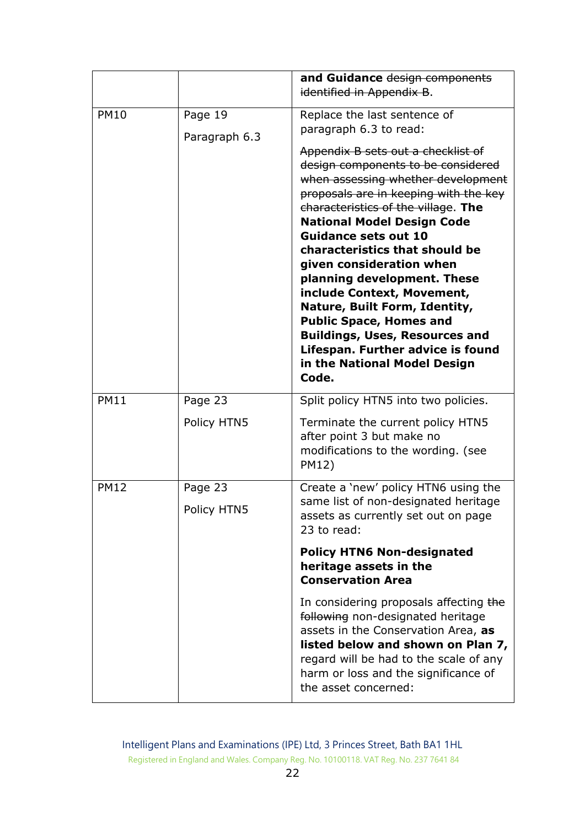|             |                          | and Guidance design components<br>identified in Appendix B.                                                                                                                                                                                                                                                                                                                                                                                                                                                                                                                                                                                       |
|-------------|--------------------------|---------------------------------------------------------------------------------------------------------------------------------------------------------------------------------------------------------------------------------------------------------------------------------------------------------------------------------------------------------------------------------------------------------------------------------------------------------------------------------------------------------------------------------------------------------------------------------------------------------------------------------------------------|
| <b>PM10</b> | Page 19<br>Paragraph 6.3 | Replace the last sentence of<br>paragraph 6.3 to read:<br>Appendix B sets out a checklist of<br>design components to be considered<br>when assessing whether development<br>proposals are in keeping with the key<br>characteristics of the village. The<br><b>National Model Design Code</b><br><b>Guidance sets out 10</b><br>characteristics that should be<br>given consideration when<br>planning development. These<br>include Context, Movement,<br>Nature, Built Form, Identity,<br><b>Public Space, Homes and</b><br><b>Buildings, Uses, Resources and</b><br>Lifespan. Further advice is found<br>in the National Model Design<br>Code. |
| <b>PM11</b> | Page 23<br>Policy HTN5   | Split policy HTN5 into two policies.<br>Terminate the current policy HTN5<br>after point 3 but make no<br>modifications to the wording. (see<br>PM12)                                                                                                                                                                                                                                                                                                                                                                                                                                                                                             |
| <b>PM12</b> | Page 23<br>Policy HTN5   | Create a 'new' policy HTN6 using the<br>same list of non-designated heritage<br>assets as currently set out on page<br>23 to read:                                                                                                                                                                                                                                                                                                                                                                                                                                                                                                                |
|             |                          | <b>Policy HTN6 Non-designated</b><br>heritage assets in the<br><b>Conservation Area</b>                                                                                                                                                                                                                                                                                                                                                                                                                                                                                                                                                           |
|             |                          | In considering proposals affecting the<br>following non-designated heritage<br>assets in the Conservation Area, as<br>listed below and shown on Plan 7,<br>regard will be had to the scale of any<br>harm or loss and the significance of<br>the asset concerned:                                                                                                                                                                                                                                                                                                                                                                                 |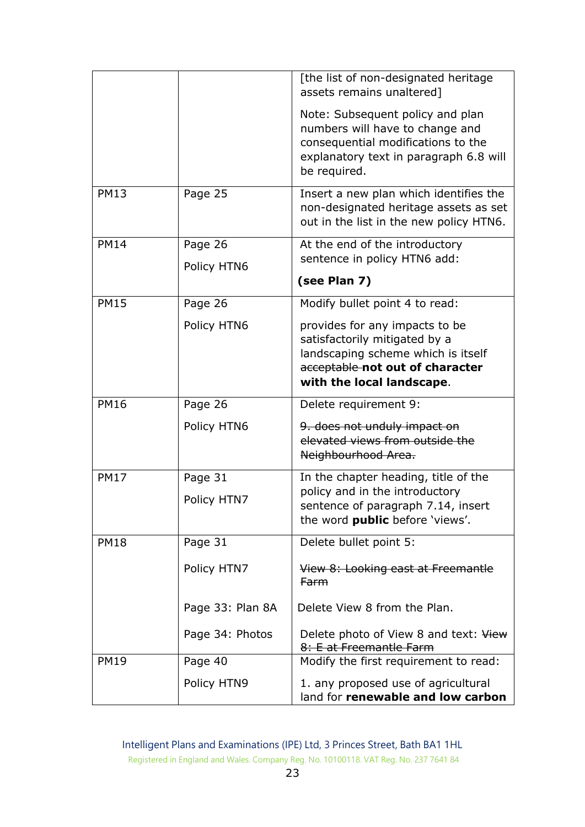|             |                  | [the list of non-designated heritage<br>assets remains unaltered]                                                                                                     |
|-------------|------------------|-----------------------------------------------------------------------------------------------------------------------------------------------------------------------|
|             |                  | Note: Subsequent policy and plan<br>numbers will have to change and<br>consequential modifications to the<br>explanatory text in paragraph 6.8 will<br>be required.   |
| <b>PM13</b> | Page 25          | Insert a new plan which identifies the<br>non-designated heritage assets as set<br>out in the list in the new policy HTN6.                                            |
| <b>PM14</b> | Page 26          | At the end of the introductory                                                                                                                                        |
|             | Policy HTN6      | sentence in policy HTN6 add:                                                                                                                                          |
|             |                  | (see Plan 7)                                                                                                                                                          |
| <b>PM15</b> | Page 26          | Modify bullet point 4 to read:                                                                                                                                        |
|             | Policy HTN6      | provides for any impacts to be<br>satisfactorily mitigated by a<br>landscaping scheme which is itself<br>acceptable-not out of character<br>with the local landscape. |
| <b>PM16</b> | Page 26          | Delete requirement 9:                                                                                                                                                 |
|             | Policy HTN6      | 9. does not unduly impact on<br>elevated views from outside the<br>Neighbourhood Area.                                                                                |
| <b>PM17</b> | Page 31          | In the chapter heading, title of the                                                                                                                                  |
|             | Policy HTN7      | policy and in the introductory<br>sentence of paragraph 7.14, insert<br>the word public before 'views'.                                                               |
| <b>PM18</b> | Page 31          | Delete bullet point 5:                                                                                                                                                |
|             | Policy HTN7      | View 8: Looking east at Freemantle<br><b>Farm</b>                                                                                                                     |
|             | Page 33: Plan 8A | Delete View 8 from the Plan.                                                                                                                                          |
|             | Page 34: Photos  | Delete photo of View 8 and text: View<br>8: E at Freemantle Farm                                                                                                      |
| <b>PM19</b> | Page 40          | Modify the first requirement to read:                                                                                                                                 |
|             | Policy HTN9      | 1. any proposed use of agricultural<br>land for renewable and low carbon                                                                                              |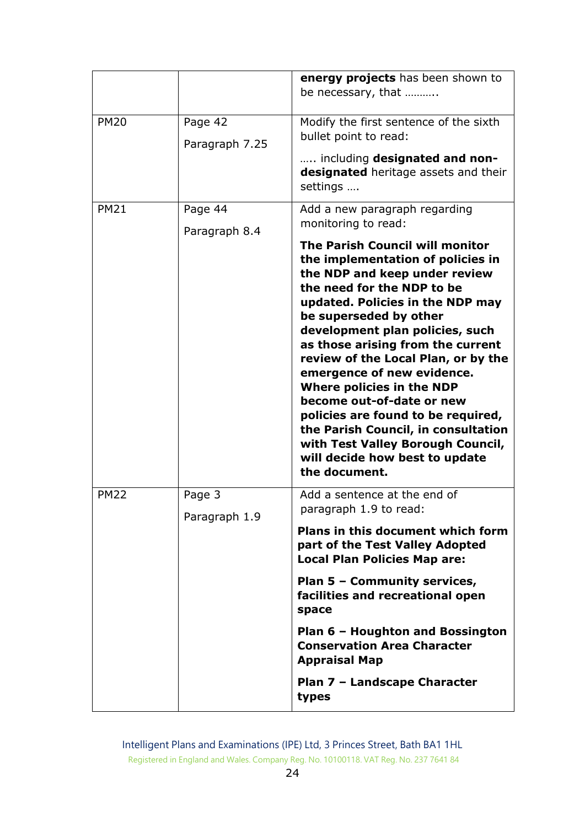|             |                           | energy projects has been shown to<br>be necessary, that                                                                                                                                                                                                                                                                                                                                                                                                                                                                                                                                                                                      |
|-------------|---------------------------|----------------------------------------------------------------------------------------------------------------------------------------------------------------------------------------------------------------------------------------------------------------------------------------------------------------------------------------------------------------------------------------------------------------------------------------------------------------------------------------------------------------------------------------------------------------------------------------------------------------------------------------------|
| <b>PM20</b> | Page 42<br>Paragraph 7.25 | Modify the first sentence of the sixth<br>bullet point to read:<br>including designated and non-<br>designated heritage assets and their<br>settings                                                                                                                                                                                                                                                                                                                                                                                                                                                                                         |
| <b>PM21</b> | Page 44<br>Paragraph 8.4  | Add a new paragraph regarding<br>monitoring to read:<br><b>The Parish Council will monitor</b><br>the implementation of policies in<br>the NDP and keep under review<br>the need for the NDP to be<br>updated. Policies in the NDP may<br>be superseded by other<br>development plan policies, such<br>as those arising from the current<br>review of the Local Plan, or by the<br>emergence of new evidence.<br>Where policies in the NDP<br>become out-of-date or new<br>policies are found to be required,<br>the Parish Council, in consultation<br>with Test Valley Borough Council,<br>will decide how best to update<br>the document. |
| <b>PM22</b> | Page 3<br>Paragraph 1.9   | Add a sentence at the end of<br>paragraph 1.9 to read:<br>Plans in this document which form<br>part of the Test Valley Adopted<br><b>Local Plan Policies Map are:</b><br>Plan 5 - Community services,<br>facilities and recreational open<br>space<br>Plan 6 - Houghton and Bossington<br><b>Conservation Area Character</b><br><b>Appraisal Map</b><br>Plan 7 - Landscape Character<br>types                                                                                                                                                                                                                                                |